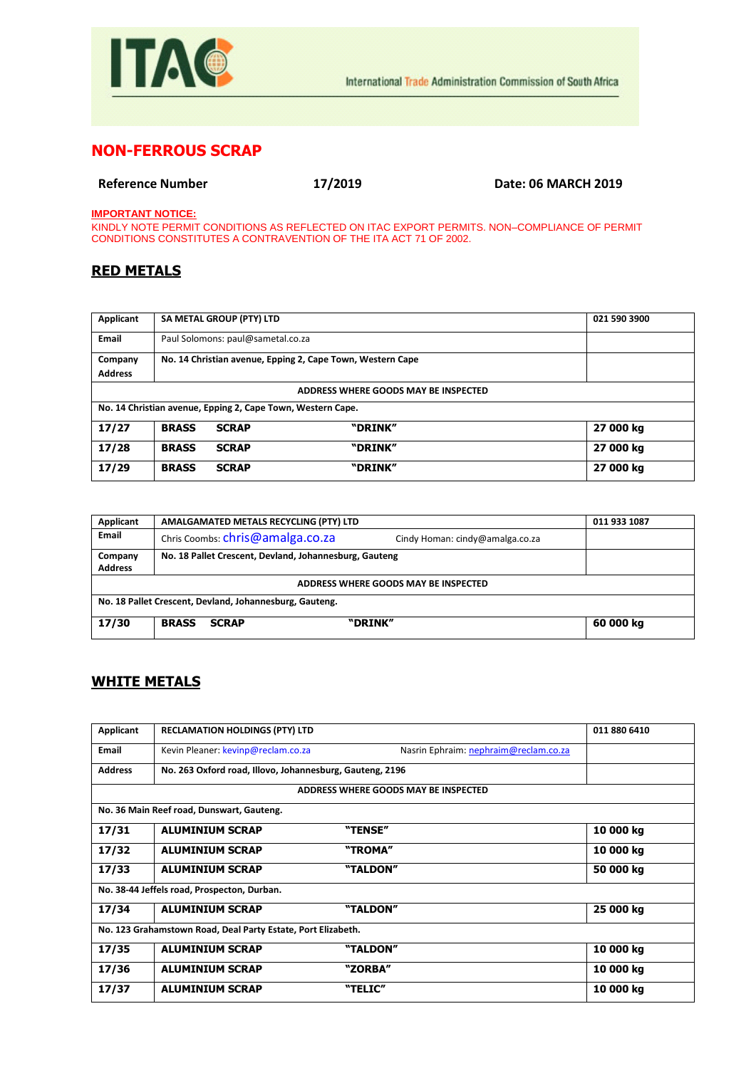

## **NON-FERROUS SCRAP**

**Reference Number 17/2019 Date: 06 MARCH 2019**

**IMPORTANT NOTICE:**

KINDLY NOTE PERMIT CONDITIONS AS REFLECTED ON ITAC EXPORT PERMITS. NON–COMPLIANCE OF PERMIT CONDITIONS CONSTITUTES A CONTRAVENTION OF THE ITA ACT 71 OF 2002.

## **RED METALS**

| Applicant                                                   |                                   | SA METAL GROUP (PTY) LTD |                                                            | 021 590 3900 |
|-------------------------------------------------------------|-----------------------------------|--------------------------|------------------------------------------------------------|--------------|
| <b>Email</b>                                                | Paul Solomons: paul@sametal.co.za |                          |                                                            |              |
| Company                                                     |                                   |                          | No. 14 Christian avenue, Epping 2, Cape Town, Western Cape |              |
| <b>Address</b>                                              |                                   |                          |                                                            |              |
| ADDRESS WHERE GOODS MAY BE INSPECTED                        |                                   |                          |                                                            |              |
| No. 14 Christian avenue, Epping 2, Cape Town, Western Cape. |                                   |                          |                                                            |              |
| 17/27                                                       | <b>BRASS</b>                      | <b>SCRAP</b>             | "DRINK"                                                    | 27 000 kg    |
| 17/28                                                       | <b>BRASS</b>                      | <b>SCRAP</b>             | "DRINK"                                                    | 27 000 kg    |
| 17/29                                                       | <b>BRASS</b>                      | <b>SCRAP</b>             | "DRINK"                                                    | 27 000 kg    |

| Applicant                                               | AMALGAMATED METALS RECYCLING (PTY) LTD                              | 011 933 1087 |  |  |
|---------------------------------------------------------|---------------------------------------------------------------------|--------------|--|--|
| <b>Email</b>                                            | Chris Coombs: chris@amalga.co.za<br>Cindy Homan: cindy@amalga.co.za |              |  |  |
| Company                                                 | No. 18 Pallet Crescent, Devland, Johannesburg, Gauteng              |              |  |  |
| <b>Address</b>                                          |                                                                     |              |  |  |
| ADDRESS WHERE GOODS MAY BE INSPECTED                    |                                                                     |              |  |  |
| No. 18 Pallet Crescent, Devland, Johannesburg, Gauteng. |                                                                     |              |  |  |
| 17/30                                                   | "DRINK"<br><b>BRASS</b><br><b>SCRAP</b>                             | 60 000 kg    |  |  |

## **WHITE METALS**

| Applicant                                                    | <b>RECLAMATION HOLDINGS (PTY) LTD</b>                    |                                       | 011 880 6410 |  |
|--------------------------------------------------------------|----------------------------------------------------------|---------------------------------------|--------------|--|
| <b>Email</b>                                                 | Kevin Pleaner: kevinp@reclam.co.za                       | Nasrin Ephraim: nephraim@reclam.co.za |              |  |
| <b>Address</b>                                               | No. 263 Oxford road, Illovo, Johannesburg, Gauteng, 2196 |                                       |              |  |
|                                                              |                                                          | ADDRESS WHERE GOODS MAY BE INSPECTED  |              |  |
|                                                              | No. 36 Main Reef road, Dunswart, Gauteng.                |                                       |              |  |
| 17/31                                                        | <b>ALUMINIUM SCRAP</b>                                   | "TENSE"                               | 10 000 kg    |  |
| 17/32                                                        | <b>ALUMINIUM SCRAP</b>                                   | "TROMA"                               | 10 000 kg    |  |
| 17/33                                                        | <b>ALUMINIUM SCRAP</b>                                   | "TALDON"                              | 50 000 kg    |  |
| No. 38-44 Jeffels road, Prospecton, Durban.                  |                                                          |                                       |              |  |
| 17/34                                                        | <b>ALUMINIUM SCRAP</b>                                   | "TALDON"                              | 25 000 kg    |  |
| No. 123 Grahamstown Road, Deal Party Estate, Port Elizabeth. |                                                          |                                       |              |  |
| 17/35                                                        | <b>ALUMINIUM SCRAP</b>                                   | "TALDON"                              | 10 000 kg    |  |
| 17/36                                                        | <b>ALUMINIUM SCRAP</b>                                   | "ZORBA"                               | 10 000 kg    |  |
| 17/37                                                        | <b>ALUMINIUM SCRAP</b>                                   | "TELIC"                               | 10 000 kg    |  |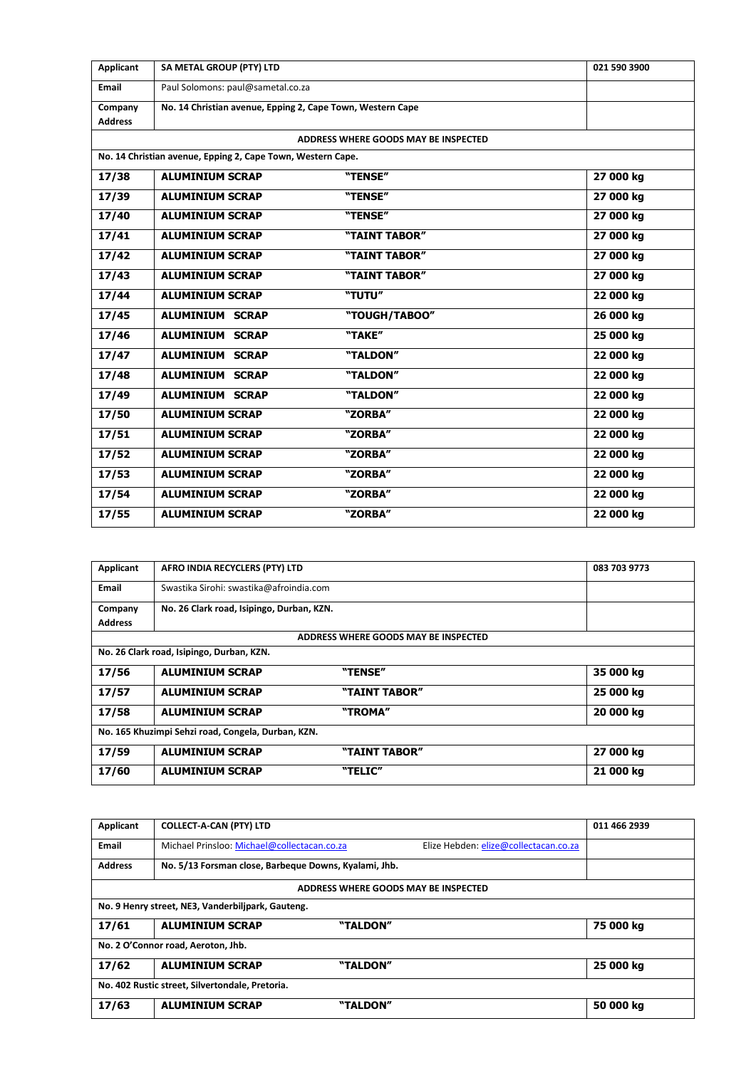| <b>Applicant</b> | SA METAL GROUP (PTY) LTD                                    |                                      | 021 590 3900 |
|------------------|-------------------------------------------------------------|--------------------------------------|--------------|
| Email            | Paul Solomons: paul@sametal.co.za                           |                                      |              |
| Company          | No. 14 Christian avenue, Epping 2, Cape Town, Western Cape  |                                      |              |
| <b>Address</b>   |                                                             |                                      |              |
|                  |                                                             | ADDRESS WHERE GOODS MAY BE INSPECTED |              |
|                  | No. 14 Christian avenue, Epping 2, Cape Town, Western Cape. |                                      |              |
| 17/38            | <b>ALUMINIUM SCRAP</b>                                      | "TENSE"                              | 27 000 kg    |
| 17/39            | <b>ALUMINIUM SCRAP</b>                                      | "TENSE"                              | 27 000 kg    |
| 17/40            | <b>ALUMINIUM SCRAP</b>                                      | "TENSE"                              | 27 000 kg    |
| 17/41            | <b>ALUMINIUM SCRAP</b>                                      | "TAINT TABOR"                        | 27 000 kg    |
| 17/42            | <b>ALUMINIUM SCRAP</b>                                      | "TAINT TABOR"                        | 27 000 kg    |
| 17/43            | <b>ALUMINIUM SCRAP</b>                                      | "TAINT TABOR"                        | 27 000 kg    |
| 17/44            | <b>ALUMINIUM SCRAP</b>                                      | "TUTU"                               | 22 000 kg    |
| 17/45            | <b>ALUMINIUM SCRAP</b>                                      | "TOUGH/TABOO"                        | 26 000 kg    |
| 17/46            | <b>ALUMINIUM SCRAP</b>                                      | "TAKE"                               | 25 000 kg    |
| 17/47            | <b>ALUMINIUM SCRAP</b>                                      | "TALDON"                             | 22 000 kg    |
| 17/48            | <b>ALUMINIUM SCRAP</b>                                      | "TALDON"                             | 22 000 kg    |
| 17/49            | <b>ALUMINIUM SCRAP</b>                                      | "TALDON"                             | 22 000 kg    |
| 17/50            | <b>ALUMINIUM SCRAP</b>                                      | "ZORBA"                              | 22 000 kg    |
| 17/51            | <b>ALUMINIUM SCRAP</b>                                      | "ZORBA"                              | 22 000 kg    |
| 17/52            | <b>ALUMINIUM SCRAP</b>                                      | "ZORBA"                              | 22 000 kg    |
| 17/53            | <b>ALUMINIUM SCRAP</b>                                      | "ZORBA"                              | 22 000 kg    |
| 17/54            | <b>ALUMINIUM SCRAP</b>                                      | "ZORBA"                              | 22 000 kg    |
| 17/55            | <b>ALUMINIUM SCRAP</b>                                      | "ZORBA"                              | 22 000 kg    |

| Applicant                                          | AFRO INDIA RECYCLERS (PTY) LTD            |                                      | 083 703 9773 |  |
|----------------------------------------------------|-------------------------------------------|--------------------------------------|--------------|--|
| Email                                              | Swastika Sirohi: swastika@afroindia.com   |                                      |              |  |
| Company                                            | No. 26 Clark road, Isipingo, Durban, KZN. |                                      |              |  |
| <b>Address</b>                                     |                                           |                                      |              |  |
|                                                    |                                           | ADDRESS WHERE GOODS MAY BE INSPECTED |              |  |
|                                                    | No. 26 Clark road, Isipingo, Durban, KZN. |                                      |              |  |
| 17/56                                              | <b>ALUMINIUM SCRAP</b>                    | "TENSE"                              | 35 000 kg    |  |
| 17/57                                              | <b>ALUMINIUM SCRAP</b>                    | "TAINT TABOR"                        | 25 000 kg    |  |
| 17/58                                              | <b>ALUMINIUM SCRAP</b>                    | "TROMA"                              | 20 000 kg    |  |
| No. 165 Khuzimpi Sehzi road, Congela, Durban, KZN. |                                           |                                      |              |  |
| 17/59                                              | <b>ALUMINIUM SCRAP</b>                    | "TAINT TABOR"                        | 27 000 kg    |  |
| 17/60                                              | <b>ALUMINIUM SCRAP</b>                    | "TELIC"                              | 21 000 kg    |  |

| Applicant                                       | <b>COLLECT-A-CAN (PTY) LTD</b>                        |                                      |                                       | 011 466 2939 |
|-------------------------------------------------|-------------------------------------------------------|--------------------------------------|---------------------------------------|--------------|
| <b>Email</b>                                    | Michael Prinsloo: Michael@collectacan.co.za           |                                      | Elize Hebden: elize@collectacan.co.za |              |
| <b>Address</b>                                  | No. 5/13 Forsman close, Barbeque Downs, Kyalami, Jhb. |                                      |                                       |              |
|                                                 |                                                       | ADDRESS WHERE GOODS MAY BE INSPECTED |                                       |              |
|                                                 | No. 9 Henry street, NE3, Vanderbiljpark, Gauteng.     |                                      |                                       |              |
| 17/61                                           | <b>ALUMINIUM SCRAP</b>                                | "TALDON"                             |                                       | 75 000 kg    |
| No. 2 O'Connor road, Aeroton, Jhb.              |                                                       |                                      |                                       |              |
| 17/62                                           | <b>ALUMINIUM SCRAP</b>                                | "TALDON"                             |                                       | 25 000 kg    |
| No. 402 Rustic street, Silvertondale, Pretoria. |                                                       |                                      |                                       |              |
| 17/63                                           | <b>ALUMINIUM SCRAP</b>                                | "TALDON"                             |                                       | 50 000 kg    |